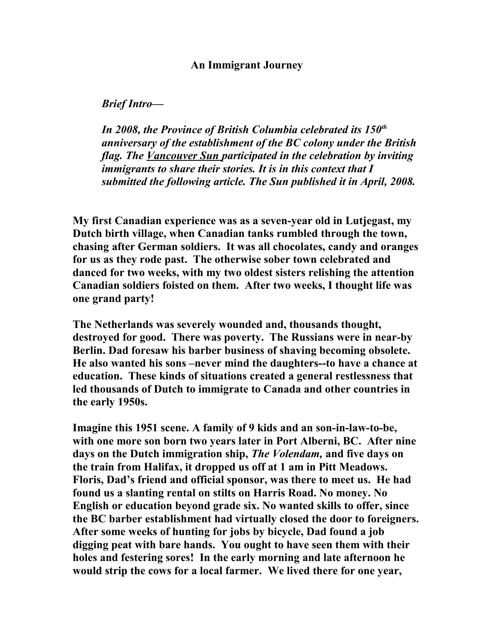## **An Immigrant Journey**

## *Brief Intro—*

*In 2008, the Province of British Columbia celebrated its 150th anniversary of the establishment of the BC colony under the British flag. The Vancouver Sun participated in the celebration by inviting immigrants to share their stories. It is in this context that I submitted the following article. The Sun published it in April, 2008.*

**My first Canadian experience was as a seven-year old in Lutjegast, my Dutch birth village, when Canadian tanks rumbled through the town, chasing after German soldiers. It was all chocolates, candy and oranges for us as they rode past. The otherwise sober town celebrated and danced for two weeks, with my two oldest sisters relishing the attention Canadian soldiers foisted on them. After two weeks, I thought life was one grand party!**

**The Netherlands was severely wounded and, thousands thought, destroyed for good. There was poverty. The Russians were in near-by Berlin. Dad foresaw his barber business of shaving becoming obsolete. He also wanted his sons –never mind the daughters--to have a chance at education. These kinds of situations created a general restlessness that led thousands of Dutch to immigrate to Canada and other countries in the early 1950s.** 

**Imagine this 1951 scene. A family of 9 kids and an son-in-law-to-be, with one more son born two years later in Port Alberni, BC. After nine days on the Dutch immigration ship,** *The Volendam,* **and five days on the train from Halifax, it dropped us off at 1 am in Pitt Meadows. Floris, Dad's friend and official sponsor, was there to meet us. He had found us a slanting rental on stilts on Harris Road. No money. No English or education beyond grade six. No wanted skills to offer, since the BC barber establishment had virtually closed the door to foreigners. After some weeks of hunting for jobs by bicycle, Dad found a job digging peat with bare hands. You ought to have seen them with their holes and festering sores! In the early morning and late afternoon he would strip the cows for a local farmer. We lived there for one year,**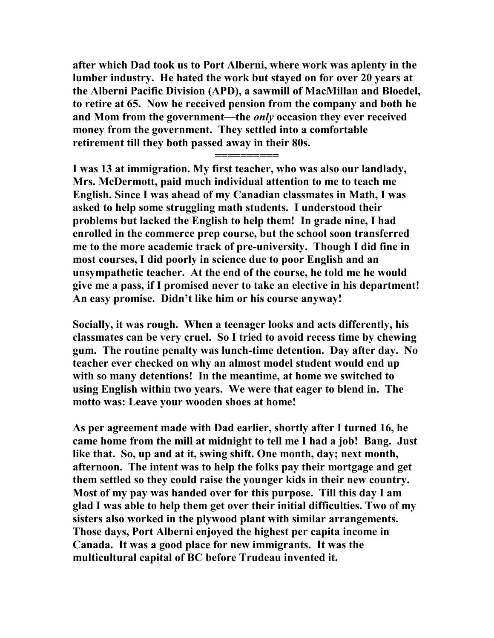**after which Dad took us to Port Alberni, where work was aplenty in the lumber industry. He hated the work but stayed on for over 20 years at the Alberni Pacific Division (APD), a sawmill of MacMillan and Bloedel, to retire at 65. Now he received pension from the company and both he and Mom from the government—the** *only* **occasion they ever received money from the government. They settled into a comfortable retirement till they both passed away in their 80s.** 

**==========**

**I was 13 at immigration. My first teacher, who was also our landlady, Mrs. McDermott, paid much individual attention to me to teach me English. Since I was ahead of my Canadian classmates in Math, I was asked to help some struggling math students. I understood their problems but lacked the English to help them! In grade nine, I had enrolled in the commerce prep course, but the school soon transferred me to the more academic track of pre-university. Though I did fine in most courses, I did poorly in science due to poor English and an unsympathetic teacher. At the end of the course, he told me he would give me a pass, if I promised never to take an elective in his department! An easy promise. Didn't like him or his course anyway!**

**Socially, it was rough. When a teenager looks and acts differently, his classmates can be very cruel. So I tried to avoid recess time by chewing gum. The routine penalty was lunch-time detention. Day after day. No teacher ever checked on why an almost model student would end up with so many detentions! In the meantime, at home we switched to using English within two years. We were that eager to blend in. The motto was: Leave your wooden shoes at home!**

**As per agreement made with Dad earlier, shortly after I turned 16, he came home from the mill at midnight to tell me I had a job! Bang. Just like that. So, up and at it, swing shift. One month, day; next month, afternoon. The intent was to help the folks pay their mortgage and get them settled so they could raise the younger kids in their new country. Most of my pay was handed over for this purpose. Till this day I am glad I was able to help them get over their initial difficulties. Two of my sisters also worked in the plywood plant with similar arrangements. Those days, Port Alberni enjoyed the highest per capita income in Canada. It was a good place for new immigrants. It was the multicultural capital of BC before Trudeau invented it.**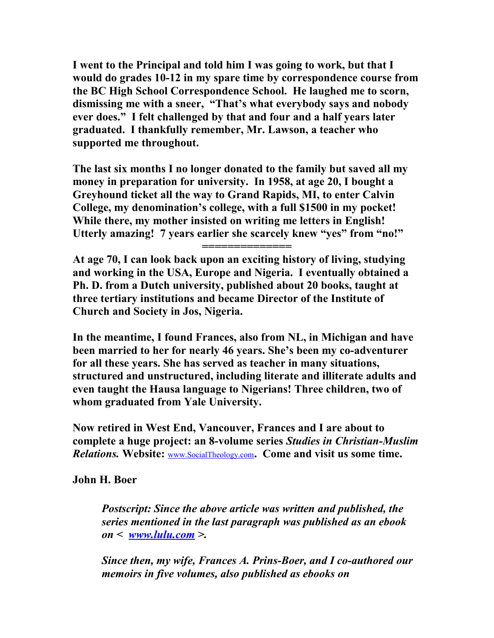**I went to the Principal and told him I was going to work, but that I would do grades 10-12 in my spare time by correspondence course from the BC High School Correspondence School. He laughed me to scorn, dismissing me with a sneer, "That's what everybody says and nobody ever does." I felt challenged by that and four and a half years later graduated. I thankfully remember, Mr. Lawson, a teacher who supported me throughout.**

**The last six months I no longer donated to the family but saved all my money in preparation for university. In 1958, at age 20, I bought a Greyhound ticket all the way to Grand Rapids, MI, to enter Calvin College, my denomination's college, with a full \$1500 in my pocket! While there, my mother insisted on writing me letters in English! Utterly amazing! 7 years earlier she scarcely knew "yes" from "no!"**

**At age 70, I can look back upon an exciting history of living, studying and working in the USA, Europe and Nigeria. I eventually obtained a Ph. D. from a Dutch university, published about 20 books, taught at three tertiary institutions and became Director of the Institute of Church and Society in Jos, Nigeria.** 

**==============**

**In the meantime, I found Frances, also from NL, in Michigan and have been married to her for nearly 46 years. She's been my co-adventurer for all these years. She has served as teacher in many situations, structured and unstructured, including literate and illiterate adults and even taught the Hausa language to Nigerians! Three children, two of whom graduated from Yale University.**

**Now retired in West End, Vancouver, Frances and I are about to complete a huge project: an 8-volume series** *Studies in Christian-Muslim Relations.* **Website:** [www.SocialTheology.com](http://www.SocialTheology.com/)**. Come and visit us some time.**

**John H. Boer**

*Postscript: Since the above article was written and published, the series mentioned in the last paragraph was published as an ebook on < [www.lulu.com](http://www.lulu.com/) >.* 

*Since then, my wife, Frances A. Prins-Boer, and I co-authored our memoirs in five volumes, also published as ebooks on*